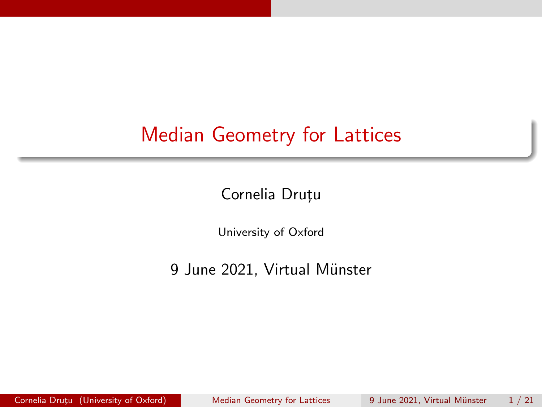### <span id="page-0-0"></span>Median Geometry for Lattices

Cornelia Druțu

University of Oxford

9 June 2021, Virtual Münster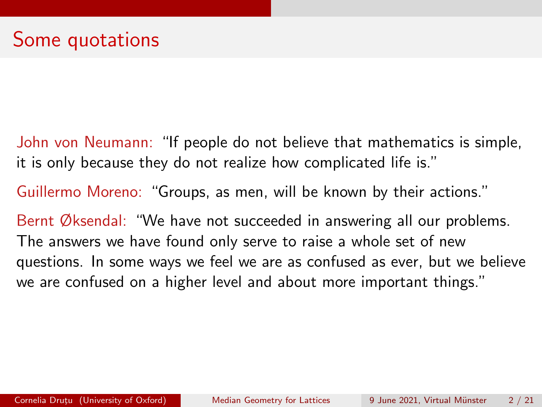John von Neumann: "If people do not believe that mathematics is simple, it is only because they do not realize how complicated life is."

Guillermo Moreno: "Groups, as men, will be known by their actions."

Bernt Øksendal: "We have not succeeded in answering all our problems. The answers we have found only serve to raise a whole set of new questions. In some ways we feel we are as confused as ever, but we believe we are confused on a higher level and about more important things."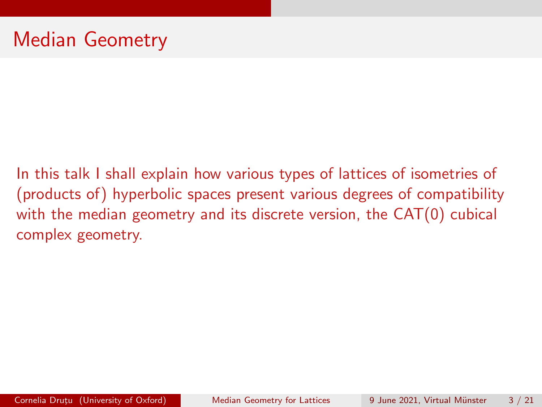In this talk I shall explain how various types of lattices of isometries of (products of) hyperbolic spaces present various degrees of compatibility with the median geometry and its discrete version, the CAT(0) cubical complex geometry.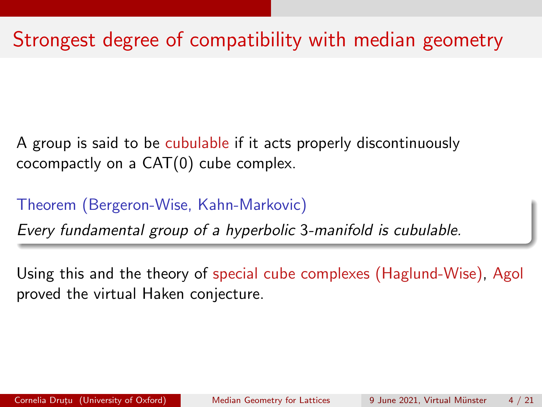## Strongest degree of compatibility with median geometry

A group is said to be cubulable if it acts properly discontinuously cocompactly on a CAT(0) cube complex.

Theorem (Bergeron-Wise, Kahn-Markovic)

Every fundamental group of a hyperbolic 3-manifold is cubulable.

Using this and the theory of special cube complexes (Haglund-Wise), Agol proved the virtual Haken conjecture.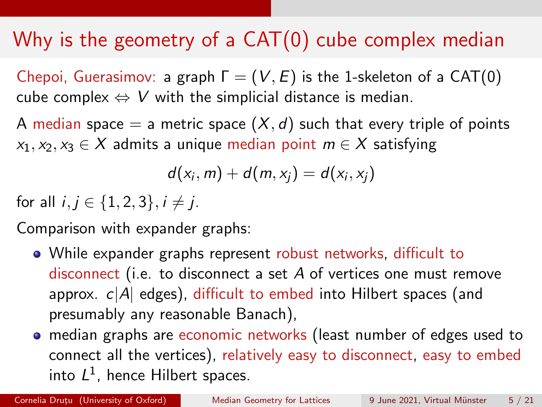## Why is the geometry of a CAT(0) cube complex median

Chepoi, Guerasimov: a graph  $\Gamma = (V, E)$  is the 1-skeleton of a CAT(0) cube complex  $\Leftrightarrow$  V with the simplicial distance is median.

A median space  $=$  a metric space  $(X, d)$  such that every triple of points  $x_1, x_2, x_3 \in X$  admits a unique median point  $m \in X$  satisfying

$$
d(x_i,m)+d(m,x_j)=d(x_i,x_j)
$$

for all  $i, j \in \{1, 2, 3\}, i \neq j$ .

Comparison with expander graphs:

- While expander graphs represent robust networks, difficult to disconnect (i.e. to disconnect a set A of vertices one must remove approx.  $c|A|$  edges), difficult to embed into Hilbert spaces (and presumably any reasonable Banach),
- median graphs are economic networks (least number of edges used to connect all the vertices), relatively easy to disconnect, easy to embed into  $L^1$ , hence Hilbert spaces.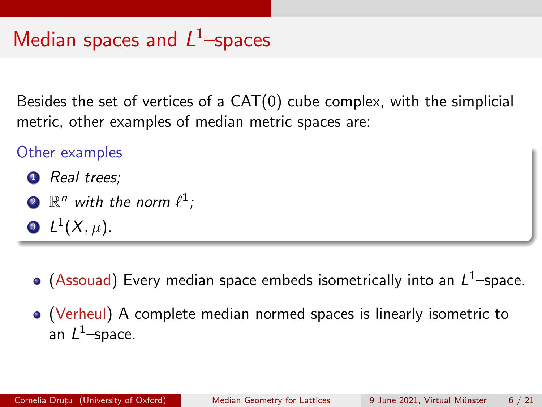## Median spaces and  $L^1$ -spaces

Besides the set of vertices of a CAT(0) cube complex, with the simplicial metric, other examples of median metric spaces are:

### Other examples

- **1** Real trees:
- $\mathbf{2}$   $\mathbb{R}^n$  with the norm  $\ell^1$  ;
- $\mathbf{B} \ L^1(X,\mu).$
- (Assouad) Every median space embeds isometrically into an  $L^1$ –space.
- (Verheul) A complete median normed spaces is linearly isometric to an  $L^1$ —space.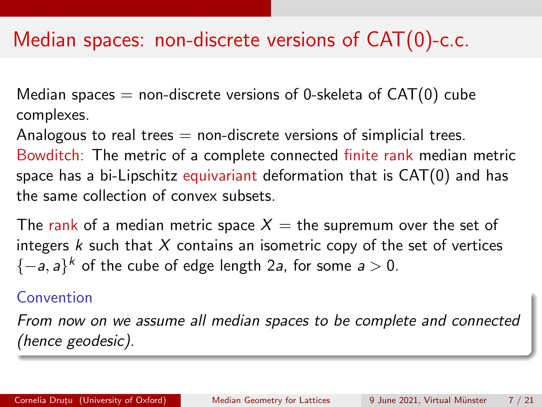### Median spaces: non-discrete versions of CAT(0)-c.c.

Median spaces  $=$  non-discrete versions of 0-skeleta of  $CAT(0)$  cube complexes.

Analogous to real trees  $=$  non-discrete versions of simplicial trees.

Bowditch: The metric of a complete connected finite rank median metric space has a bi-Lipschitz equivariant deformation that is CAT(0) and has the same collection of convex subsets.

The rank of a median metric space  $X =$  the supremum over the set of integers  $k$  such that  $X$  contains an isometric copy of the set of vertices  ${-a, a}^k$  of the cube of edge length 2a, for some  $a > 0$ .

### Convention

From now on we assume all median spaces to be complete and connected (hence geodesic).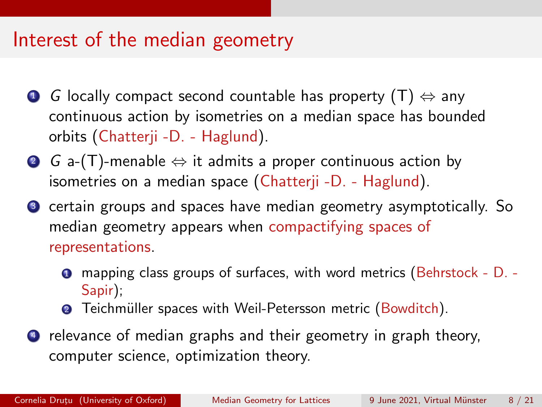### Interest of the median geometry

- **G** locally compact second countable has property  $(T) \Leftrightarrow$  any continuous action by isometries on a median space has bounded orbits (Chatterji -D. - Haglund).
- **2** G a-(T)-menable  $\Leftrightarrow$  it admits a proper continuous action by isometries on a median space (Chatterji -D. - Haglund).
- <sup>3</sup> certain groups and spaces have median geometry asymptotically. So median geometry appears when compactifying spaces of representations.
	- <sup>1</sup> mapping class groups of surfaces, with word metrics (Behrstock D. Sapir);
	- **■** Teichmüller spaces with Weil-Petersson metric (Bowditch).
- **4** relevance of median graphs and their geometry in graph theory, computer science, optimization theory.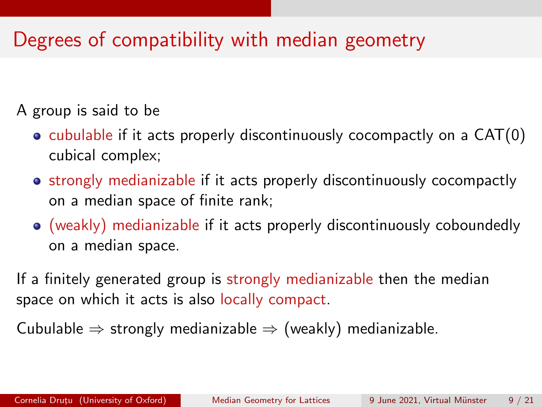## Degrees of compatibility with median geometry

A group is said to be

- $\bullet$  cubulable if it acts properly discontinuously cocompactly on a CAT $(0)$ cubical complex;
- strongly medianizable if it acts properly discontinuously cocompactly on a median space of finite rank;
- (weakly) medianizable if it acts properly discontinuously coboundedly on a median space.

If a finitely generated group is strongly medianizable then the median space on which it acts is also locally compact.

Cubulable  $\Rightarrow$  strongly medianizable  $\Rightarrow$  (weakly) medianizable.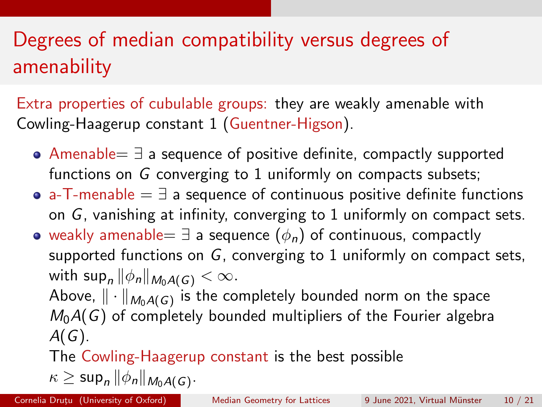# Degrees of median compatibility versus degrees of amenability

Extra properties of cubulable groups: they are weakly amenable with Cowling-Haagerup constant 1 (Guentner-Higson).

- Amenable= ∃ a sequence of positive definite, compactly supported functions on G converging to 1 uniformly on compacts subsets;
- a-T-menable  $=$   $\exists$  a sequence of continuous positive definite functions on G, vanishing at infinity, converging to 1 uniformly on compact sets.
- weakly amenable=  $\exists$  a sequence  $(\phi_n)$  of continuous, compactly supported functions on G, converging to 1 uniformly on compact sets, with  $\sup_n ||\phi_n||_{M_0A(G)} < \infty$ .

Above,  $\|\cdot\|_{M_0A(G)}$  is the completely bounded norm on the space  $M_0A(G)$  of completely bounded multipliers of the Fourier algebra  $A(G)$ .

The Cowling-Haagerup constant is the best possible

$$
\kappa \geq \sup\nolimits_n \|\phi_n\|_{M_0A(G)}.
$$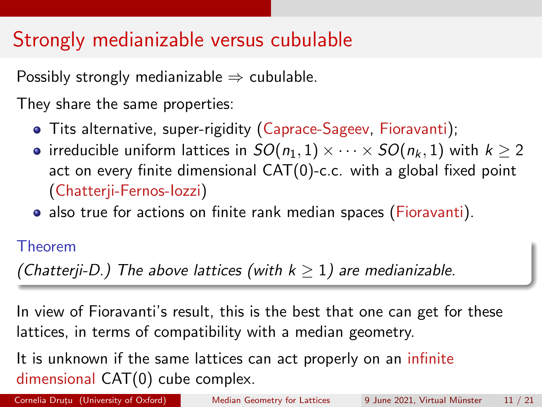## Strongly medianizable versus cubulable

Possibly strongly medianizable  $\Rightarrow$  cubulable.

They share the same properties:

- Tits alternative, super-rigidity (Caprace-Sageev, Fioravanti);
- irreducible uniform lattices in  $SO(n_1, 1) \times \cdots \times SO(n_k, 1)$  with  $k \geq 2$ act on every finite dimensional CAT(0)-c.c. with a global fixed point (Chatterji-Fernos-Iozzi)
- also true for actions on finite rank median spaces (Fioravanti).

### Theorem

(Chatterji-D.) The above lattices (with  $k \geq 1$ ) are medianizable.

In view of Fioravanti's result, this is the best that one can get for these lattices, in terms of compatibility with a median geometry.

It is unknown if the same lattices can act properly on an infinite dimensional CAT(0) cube complex.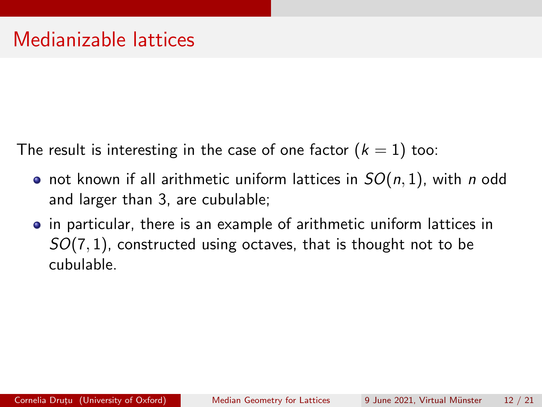The result is interesting in the case of one factor  $(k = 1)$  too:

- not known if all arithmetic uniform lattices in  $SO(n,1)$ , with n odd and larger than 3, are cubulable;
- in particular, there is an example of arithmetic uniform lattices in  $SO(7,1)$ , constructed using octaves, that is thought not to be cubulable.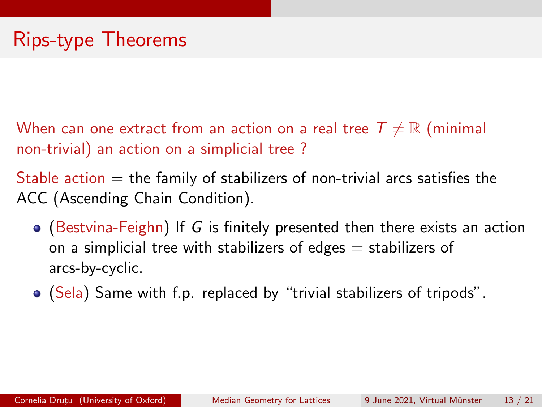When can one extract from an action on a real tree  $T \neq \mathbb{R}$  (minimal non-trivial) an action on a simplicial tree ?

Stable action  $=$  the family of stabilizers of non-trivial arcs satisfies the ACC (Ascending Chain Condition).

- $\bullet$  (Bestvina-Feighn) If G is finitely presented then there exists an action on a simplicial tree with stabilizers of edges  $=$  stabilizers of arcs-by-cyclic.
- (Sela) Same with f.p. replaced by "trivial stabilizers of tripods".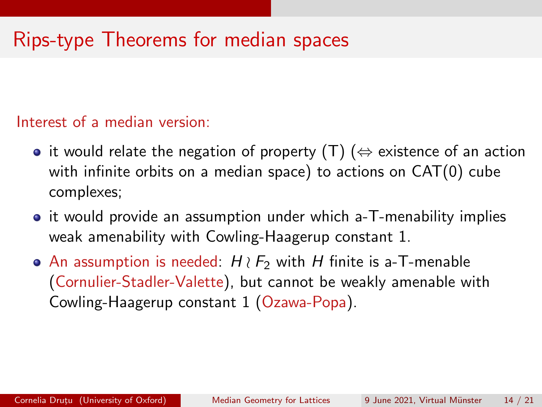### Rips-type Theorems for median spaces

#### Interest of a median version:

- it would relate the negation of property  $(T)$  ( $\Leftrightarrow$  existence of an action with infinite orbits on a median space) to actions on CAT(0) cube complexes;
- it would provide an assumption under which a-T-menability implies weak amenability with Cowling-Haagerup constant 1.
- An assumption is needed:  $H \wr F_2$  with H finite is a-T-menable (Cornulier-Stadler-Valette), but cannot be weakly amenable with Cowling-Haagerup constant 1 (Ozawa-Popa).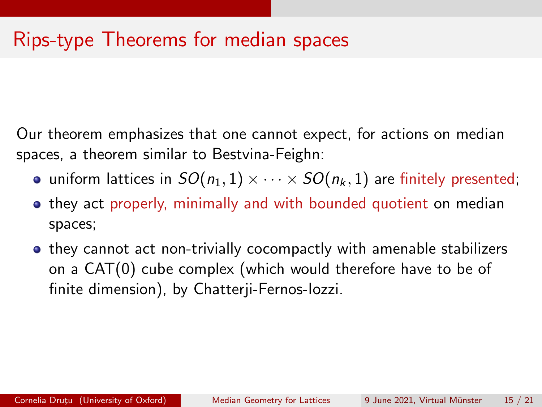### Rips-type Theorems for median spaces

Our theorem emphasizes that one cannot expect, for actions on median spaces, a theorem similar to Bestvina-Feighn:

- uniform lattices in  $SO(n_1, 1) \times \cdots \times SO(n_k, 1)$  are finitely presented;
- **•** they act properly, minimally and with bounded quotient on median spaces;
- they cannot act non-trivially cocompactly with amenable stabilizers on a CAT(0) cube complex (which would therefore have to be of finite dimension), by Chatterji-Fernos-Iozzi.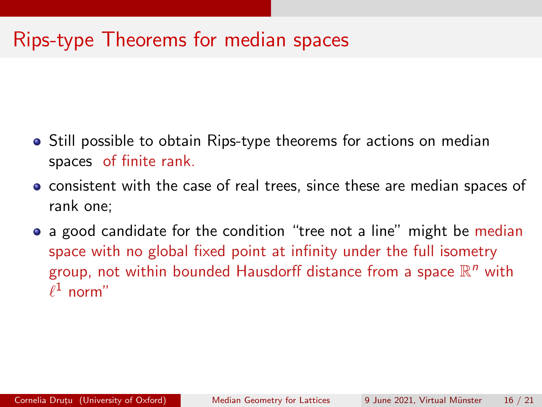### Rips-type Theorems for median spaces

- **•** Still possible to obtain Rips-type theorems for actions on median spaces of finite rank.
- consistent with the case of real trees, since these are median spaces of rank one;
- a good candidate for the condition "tree not a line" might be median space with no global fixed point at infinity under the full isometry group, not within bounded Hausdorff distance from a space  $\mathbb{R}^n$  with  $\ell^1$  norm"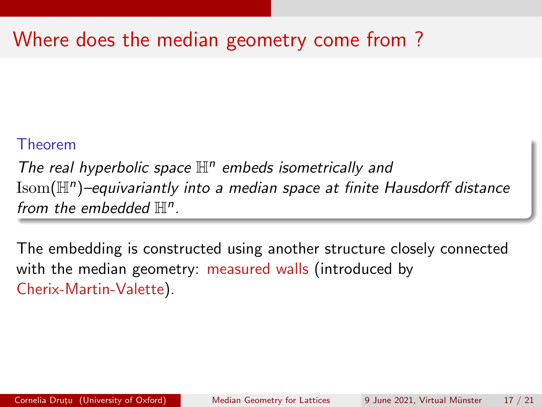## Where does the median geometry come from ?

### Theorem

The real hyperbolic space  $\mathbb{H}^n$  embeds isometrically and  $\mathrm{Isom}(\mathbb H^n)$ -equivariantly into a median space at finite Hausdorff distance from the embedded  $\mathbb{H}^n$ .

The embedding is constructed using another structure closely connected with the median geometry: measured walls (introduced by Cherix-Martin-Valette).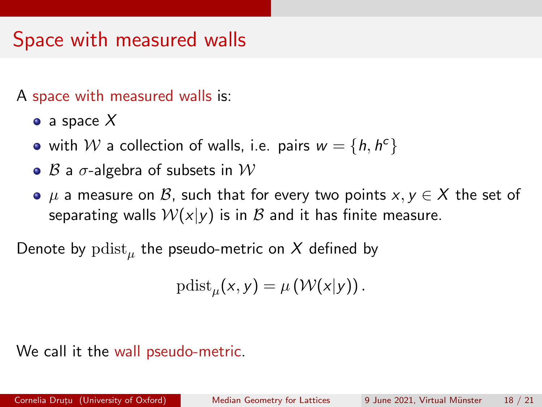## Space with measured walls

A space with measured walls is:

- a space  $X$
- with  $W$  a collection of walls, i.e. pairs  $w = \{h, h^c\}$
- $\bullet$   $\beta$  a  $\sigma$ -algebra of subsets in  $\mathcal W$
- $\bullet$   $\mu$  a measure on  $\mathcal{B}$ , such that for every two points  $x, y \in \mathcal{X}$  the set of separating walls  $W(x|y)$  is in  $\beta$  and it has finite measure.

Denote by  $\operatorname{pdist}_\mu$  the pseudo-metric on  $X$  defined by

$$
\mathrm{pdist}_{\mu}(x,y)=\mu\left(\mathcal{W}(x|y)\right).
$$

### We call it the wall pseudo-metric.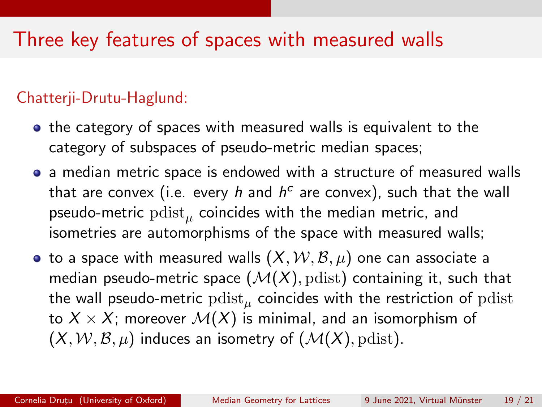### Three key features of spaces with measured walls

### Chatterji-Drutu-Haglund:

- the category of spaces with measured walls is equivalent to the category of subspaces of pseudo-metric median spaces;
- a median metric space is endowed with a structure of measured walls that are convex (i.e. every  $h$  and  $h^c$  are convex), such that the wall pseudo-metric  $\operatorname{pdist}_\mu$  coincides with the median metric, and isometries are automorphisms of the space with measured walls;
- to a space with measured walls  $(X, \mathcal{W}, \mathcal{B}, \mu)$  one can associate a median pseudo-metric space  $(M(X), \text{pdist})$  containing it, such that the wall pseudo-metric  $\operatorname{pdist}_\mu$  coincides with the restriction of  $\operatorname{pdist}$ to  $X \times X$ ; moreover  $\mathcal{M}(X)$  is minimal, and an isomorphism of  $(X, W, \mathcal{B}, \mu)$  induces an isometry of  $(\mathcal{M}(X), \text{pdist})$ .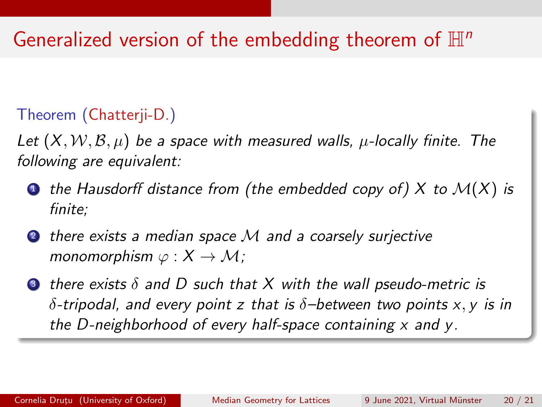### Generalized version of the embedding theorem of  $\mathbb{H}^n$

### Theorem (Chatterji-D.)

Let  $(X, W, \mathcal{B}, \mu)$  be a space with measured walls,  $\mu$ -locally finite. The following are equivalent:

- $\bullet$  the Hausdorff distance from (the embedded copy of) X to  $\mathcal{M}(X)$  is finite;
- 2 there exists a median space M and a coarsely surjective monomorphism  $\varphi: X \to \mathcal{M}$ ;
- $\bullet$  there exists  $\delta$  and D such that X with the wall pseudo-metric is  $\delta$ -tripodal, and every point z that is  $\delta$ -between two points x, y is in the D-neighborhood of every half-space containing  $x$  and  $y$ .